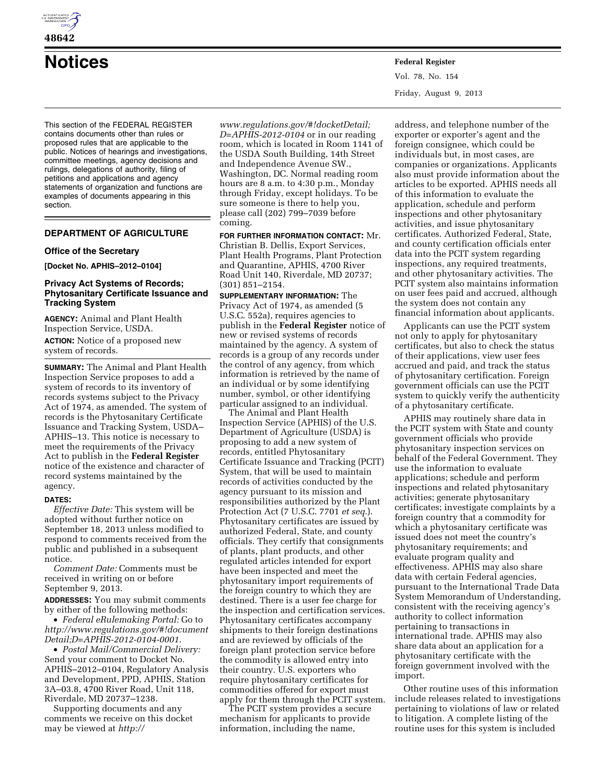

# **48642**

**Notices Federal Register**

This section of the FEDERAL REGISTER contains documents other than rules or proposed rules that are applicable to the public. Notices of hearings and investigations, committee meetings, agency decisions and rulings, delegations of authority, filing of petitions and applications and agency statements of organization and functions are examples of documents appearing in this section.

# **DEPARTMENT OF AGRICULTURE**

# **Office of the Secretary**

**[Docket No. APHIS–2012–0104]** 

# **Privacy Act Systems of Records; Phytosanitary Certificate Issuance and Tracking System**

**AGENCY:** Animal and Plant Health Inspection Service, USDA.

**ACTION:** Notice of a proposed new system of records.

**SUMMARY:** The Animal and Plant Health Inspection Service proposes to add a system of records to its inventory of records systems subject to the Privacy Act of 1974, as amended. The system of records is the Phytosanitary Certificate Issuance and Tracking System, USDA– APHIS–13. This notice is necessary to meet the requirements of the Privacy Act to publish in the **Federal Register**  notice of the existence and character of record systems maintained by the agency.

#### **DATES:**

*Effective Date:* This system will be adopted without further notice on September 18, 2013 unless modified to respond to comments received from the public and published in a subsequent notice.

*Comment Date:* Comments must be received in writing on or before September 9, 2013.

**ADDRESSES:** You may submit comments by either of the following methods:

• *Federal eRulemaking Portal:* Go to *[http://www.regulations.gov/#!document](http://www.regulations.gov/#!documentDetail;D=APHIS-2012-0104-0001) [Detail;D=APHIS-2012-0104-0001](http://www.regulations.gov/#!documentDetail;D=APHIS-2012-0104-0001)*.

• *Postal Mail/Commercial Delivery:*  Send your comment to Docket No. APHIS–2012–0104, Regulatory Analysis and Development, PPD, APHIS, Station 3A–03.8, 4700 River Road, Unit 118, Riverdale, MD 20737–1238.

Supporting documents and any comments we receive on this docket may be viewed at *[http://](http://www.regulations.gov/#!docketDetail)* 

*[www.regulations.gov/#!docketDetail;](http://www.regulations.gov/#!docketDetail) D=APHIS-2012-0104* or in our reading room, which is located in Room 1141 of the USDA South Building, 14th Street and Independence Avenue SW., Washington, DC. Normal reading room hours are 8 a.m. to 4:30 p.m., Monday through Friday, except holidays. To be sure someone is there to help you, please call (202) 799–7039 before coming.

**FOR FURTHER INFORMATION CONTACT:** Mr. Christian B. Dellis, Export Services, Plant Health Programs, Plant Protection and Quarantine, APHIS, 4700 River Road Unit 140, Riverdale, MD 20737; (301) 851–2154.

**SUPPLEMENTARY INFORMATION:** The Privacy Act of 1974, as amended (5 U.S.C. 552a), requires agencies to publish in the **Federal Register** notice of new or revised systems of records maintained by the agency. A system of records is a group of any records under the control of any agency, from which information is retrieved by the name of an individual or by some identifying number, symbol, or other identifying particular assigned to an individual.

The Animal and Plant Health Inspection Service (APHIS) of the U.S. Department of Agriculture (USDA) is proposing to add a new system of records, entitled Phytosanitary Certificate Issuance and Tracking (PCIT) System, that will be used to maintain records of activities conducted by the agency pursuant to its mission and responsibilities authorized by the Plant Protection Act (7 U.S.C. 7701 *et seq.*). Phytosanitary certificates are issued by authorized Federal, State, and county officials. They certify that consignments of plants, plant products, and other regulated articles intended for export have been inspected and meet the phytosanitary import requirements of the foreign country to which they are destined. There is a user fee charge for the inspection and certification services. Phytosanitary certificates accompany shipments to their foreign destinations and are reviewed by officials of the foreign plant protection service before the commodity is allowed entry into their country. U.S. exporters who require phytosanitary certificates for commodities offered for export must apply for them through the PCIT system.

The PCIT system provides a secure mechanism for applicants to provide information, including the name,

Vol. 78, No. 154 Friday, August 9, 2013

address, and telephone number of the exporter or exporter's agent and the foreign consignee, which could be individuals but, in most cases, are companies or organizations. Applicants also must provide information about the articles to be exported. APHIS needs all of this information to evaluate the application, schedule and perform inspections and other phytosanitary activities, and issue phytosanitary certificates. Authorized Federal, State, and county certification officials enter data into the PCIT system regarding inspections, any required treatments, and other phytosanitary activities. The PCIT system also maintains information on user fees paid and accrued, although the system does not contain any financial information about applicants.

Applicants can use the PCIT system not only to apply for phytosanitary certificates, but also to check the status of their applications, view user fees accrued and paid, and track the status of phytosanitary certification. Foreign government officials can use the PCIT system to quickly verify the authenticity of a phytosanitary certificate.

APHIS may routinely share data in the PCIT system with State and county government officials who provide phytosanitary inspection services on behalf of the Federal Government. They use the information to evaluate applications; schedule and perform inspections and related phytosanitary activities; generate phytosanitary certificates; investigate complaints by a foreign country that a commodity for which a phytosanitary certificate was issued does not meet the country's phytosanitary requirements; and evaluate program quality and effectiveness. APHIS may also share data with certain Federal agencies, pursuant to the International Trade Data System Memorandum of Understanding, consistent with the receiving agency's authority to collect information pertaining to transactions in international trade. APHIS may also share data about an application for a phytosanitary certificate with the foreign government involved with the import.

Other routine uses of this information include releases related to investigations pertaining to violations of law or related to litigation. A complete listing of the routine uses for this system is included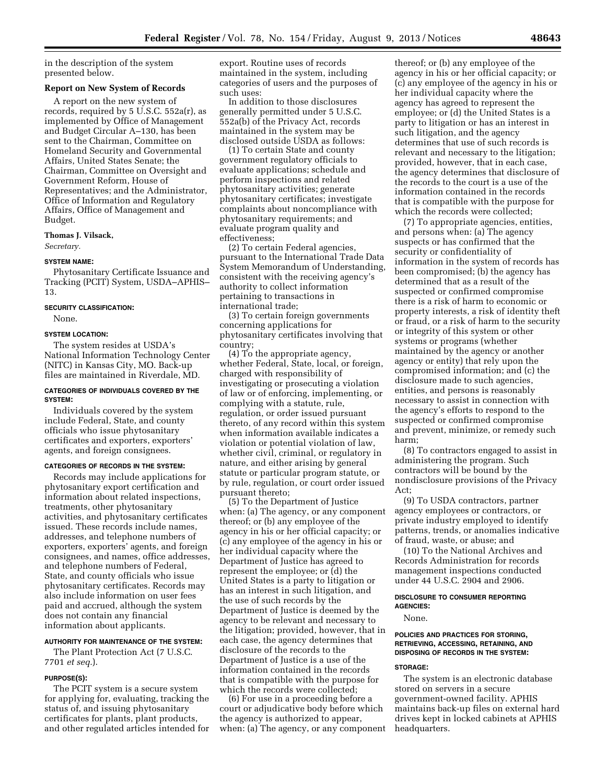in the description of the system presented below.

# **Report on New System of Records**

A report on the new system of records, required by 5 U.S.C. 552a(r), as implemented by Office of Management and Budget Circular A–130, has been sent to the Chairman, Committee on Homeland Security and Governmental Affairs, United States Senate; the Chairman, Committee on Oversight and Government Reform, House of Representatives; and the Administrator, Office of Information and Regulatory Affairs, Office of Management and Budget.

# **Thomas J. Vilsack,**

*Secretary.* 

#### **SYSTEM NAME:**

Phytosanitary Certificate Issuance and Tracking (PCIT) System, USDA–APHIS– 13.

#### **SECURITY CLASSIFICATION:**

None.

#### **SYSTEM LOCATION:**

The system resides at USDA's National Information Technology Center (NITC) in Kansas City, MO. Back-up files are maintained in Riverdale, MD.

#### **CATEGORIES OF INDIVIDUALS COVERED BY THE SYSTEM:**

Individuals covered by the system include Federal, State, and county officials who issue phytosanitary certificates and exporters, exporters' agents, and foreign consignees.

# **CATEGORIES OF RECORDS IN THE SYSTEM:**

Records may include applications for phytosanitary export certification and information about related inspections, treatments, other phytosanitary activities, and phytosanitary certificates issued. These records include names, addresses, and telephone numbers of exporters, exporters' agents, and foreign consignees, and names, office addresses, and telephone numbers of Federal, State, and county officials who issue phytosanitary certificates. Records may also include information on user fees paid and accrued, although the system does not contain any financial information about applicants.

# **AUTHORITY FOR MAINTENANCE OF THE SYSTEM:**

The Plant Protection Act (7 U.S.C. 7701 *et seq.*).

#### **PURPOSE(S):**

The PCIT system is a secure system for applying for, evaluating, tracking the status of, and issuing phytosanitary certificates for plants, plant products, and other regulated articles intended for export. Routine uses of records maintained in the system, including categories of users and the purposes of such uses:

In addition to those disclosures generally permitted under 5 U.S.C. 552a(b) of the Privacy Act, records maintained in the system may be disclosed outside USDA as follows:

(1) To certain State and county government regulatory officials to evaluate applications; schedule and perform inspections and related phytosanitary activities; generate phytosanitary certificates; investigate complaints about noncompliance with phytosanitary requirements; and evaluate program quality and effectiveness;

(2) To certain Federal agencies, pursuant to the International Trade Data System Memorandum of Understanding, consistent with the receiving agency's authority to collect information pertaining to transactions in international trade;

(3) To certain foreign governments concerning applications for phytosanitary certificates involving that country;

(4) To the appropriate agency, whether Federal, State, local, or foreign, charged with responsibility of investigating or prosecuting a violation of law or of enforcing, implementing, or complying with a statute, rule, regulation, or order issued pursuant thereto, of any record within this system when information available indicates a violation or potential violation of law, whether civil, criminal, or regulatory in nature, and either arising by general statute or particular program statute, or by rule, regulation, or court order issued pursuant thereto;

(5) To the Department of Justice when: (a) The agency, or any component thereof; or (b) any employee of the agency in his or her official capacity; or (c) any employee of the agency in his or her individual capacity where the Department of Justice has agreed to represent the employee; or (d) the United States is a party to litigation or has an interest in such litigation, and the use of such records by the Department of Justice is deemed by the agency to be relevant and necessary to the litigation; provided, however, that in each case, the agency determines that disclosure of the records to the Department of Justice is a use of the information contained in the records that is compatible with the purpose for which the records were collected;

(6) For use in a proceeding before a court or adjudicative body before which the agency is authorized to appear, when: (a) The agency, or any component

thereof; or (b) any employee of the agency in his or her official capacity; or (c) any employee of the agency in his or her individual capacity where the agency has agreed to represent the employee; or (d) the United States is a party to litigation or has an interest in such litigation, and the agency determines that use of such records is relevant and necessary to the litigation; provided, however, that in each case, the agency determines that disclosure of the records to the court is a use of the information contained in the records that is compatible with the purpose for which the records were collected;

(7) To appropriate agencies, entities, and persons when: (a) The agency suspects or has confirmed that the security or confidentiality of information in the system of records has been compromised; (b) the agency has determined that as a result of the suspected or confirmed compromise there is a risk of harm to economic or property interests, a risk of identity theft or fraud, or a risk of harm to the security or integrity of this system or other systems or programs (whether maintained by the agency or another agency or entity) that rely upon the compromised information; and (c) the disclosure made to such agencies, entities, and persons is reasonably necessary to assist in connection with the agency's efforts to respond to the suspected or confirmed compromise and prevent, minimize, or remedy such harm;

(8) To contractors engaged to assist in administering the program. Such contractors will be bound by the nondisclosure provisions of the Privacy Act;

(9) To USDA contractors, partner agency employees or contractors, or private industry employed to identify patterns, trends, or anomalies indicative of fraud, waste, or abuse; and

(10) To the National Archives and Records Administration for records management inspections conducted under 44 U.S.C. 2904 and 2906.

#### **DISCLOSURE TO CONSUMER REPORTING AGENCIES:**

None.

# **POLICIES AND PRACTICES FOR STORING, RETRIEVING, ACCESSING, RETAINING, AND DISPOSING OF RECORDS IN THE SYSTEM:**

#### **STORAGE:**

The system is an electronic database stored on servers in a secure government-owned facility. APHIS maintains back-up files on external hard drives kept in locked cabinets at APHIS headquarters.